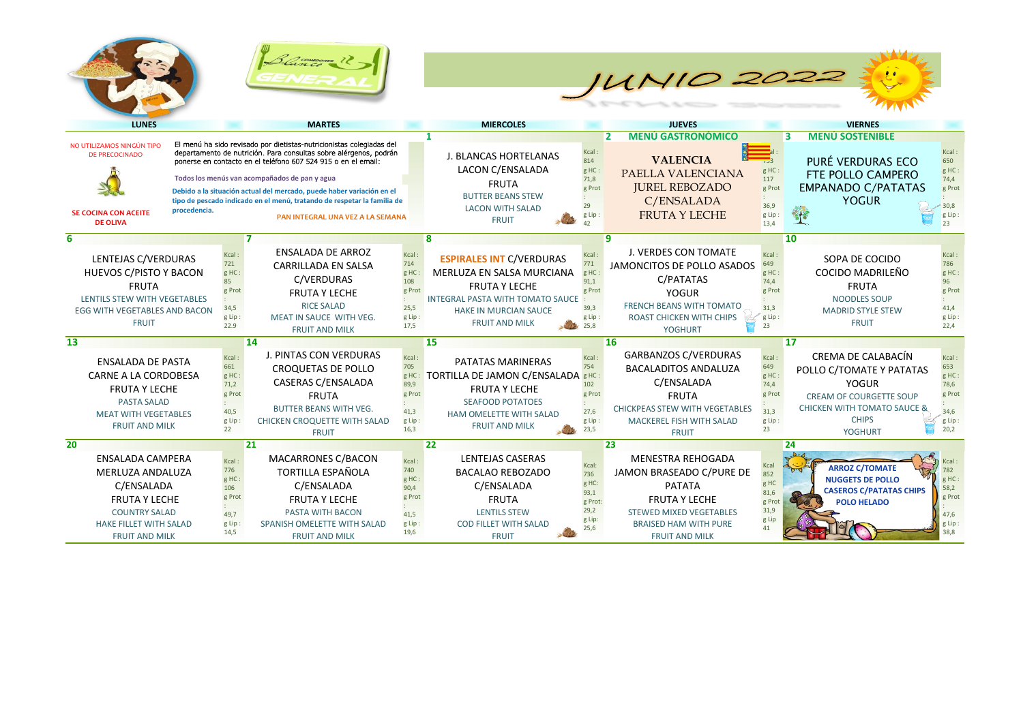





| <b>LUNES</b>                                                                                                                                                                           |                                                                  | <b>MARTES</b>                                                                                                                                                                                                                                                                                                                                                                                                                                       |                                                                   | <b>MIERCOLES</b>                                                                                                                                                                              |                                                                    | <b>JUEVES</b>                                                                                                                                                                                     |                                                                 | <b>VIERNES</b>                                                                                                                                                                            |                                                                 |
|----------------------------------------------------------------------------------------------------------------------------------------------------------------------------------------|------------------------------------------------------------------|-----------------------------------------------------------------------------------------------------------------------------------------------------------------------------------------------------------------------------------------------------------------------------------------------------------------------------------------------------------------------------------------------------------------------------------------------------|-------------------------------------------------------------------|-----------------------------------------------------------------------------------------------------------------------------------------------------------------------------------------------|--------------------------------------------------------------------|---------------------------------------------------------------------------------------------------------------------------------------------------------------------------------------------------|-----------------------------------------------------------------|-------------------------------------------------------------------------------------------------------------------------------------------------------------------------------------------|-----------------------------------------------------------------|
| NO UTILIZAMOS NINGÚN TIPO<br>DE PRECOCINADO<br><b>SE COCINA CON ACEITE</b><br><b>DE OLIVA</b>                                                                                          | procedencia.                                                     | El menú ha sido revisado por dietistas-nutricionistas colegiadas del<br>departamento de nutrición. Para consultas sobre alérgenos, podrán<br>ponerse en contacto en el teléfono 607 524 915 o en el email:<br>Todos los menús van acompañados de pan y agua<br>Debido a la situación actual del mercado, puede haber variación en el<br>tipo de pescado indicado en el menú, tratando de respetar la familia de<br>PAN INTEGRAL UNA VEZ A LA SEMANA |                                                                   | J. BLANCAS HORTELANAS<br>LACON C/ENSALADA<br><b>FRUTA</b><br><b>BUTTER BEANS STEW</b><br><b>LACON WITH SALAD</b><br><b>FRUIT</b>                                                              | Kcal<br>814<br>g HC:<br>71,8<br>g Prot<br>29<br>g Lip              | <b>MENÚ GASTRONÓMICO</b><br>$\overline{2}$<br><b>VALENCIA</b><br>PAELLA VALENCIANA<br><b>JUREL REBOZADO</b><br>C/ENSALADA<br><b>FRUTA Y LECHE</b>                                                 | 753<br>g HC:<br>117<br>g Prot<br>36,9<br>g Lip:<br>13,4         | <b>MENÚ SOSTENIBLE</b><br>3<br>PURÉ VERDURAS ECO<br>FTE POLLO CAMPERO<br><b>EMPANADO C/PATATAS</b><br><b>YOGUR</b>                                                                        | Kcal<br>650<br>g HC<br>74,4<br>g Prot<br>30,8<br>g Lip<br>23    |
| 6<br>LENTEJAS C/VERDURAS<br><b>HUEVOS C/PISTO Y BACON</b><br><b>FRUTA</b><br><b>LENTILS STEW WITH VEGETABLES</b><br><b>EGG WITH VEGETABLES AND BACON</b><br><b>FRUIT</b>               | Kcal<br>721<br>g HC:<br>85<br>g Prot<br>34,5<br>g Lip:<br>22.9   | <b>ENSALADA DE ARROZ</b><br><b>CARRILLADA EN SALSA</b><br>C/VERDURAS<br><b>FRUTA Y LECHE</b><br><b>RICE SALAD</b><br>MEAT IN SAUCE WITH VEG.<br><b>FRUIT AND MILK</b>                                                                                                                                                                                                                                                                               | Kcal<br>714<br>g HC<br>108<br>g Prot<br>25,5<br>g Lip:<br>17,5    | 8<br><b>ESPIRALES INT C/VERDURAS</b><br>MERLUZA EN SALSA MURCIANA<br><b>FRUTA Y LECHE</b><br><b>INTEGRAL PASTA WITH TOMATO SAUCE</b><br><b>HAKE IN MURCIAN SAUCE</b><br><b>FRUIT AND MILK</b> | Kcal<br>771<br>$g$ HC:<br>91,1<br>g Prot<br>39,3<br>g Lip:<br>25,8 | 9<br>J. VERDES CON TOMATE<br>JAMONCITOS DE POLLO ASADOS<br>C/PATATAS<br><b>YOGUR</b><br><b>FRENCH BEANS WITH TOMATO</b><br><b>ROAST CHICKEN WITH CHIPS</b><br><b>YOGHURT</b>                      | Kcal<br>649<br>g HC:<br>74,4<br>g Prot<br>31,3<br>g Lip:<br>23  | 10<br>SOPA DE COCIDO<br>COCIDO MADRILEÑO<br><b>FRUTA</b><br><b>NOODLES SOUP</b><br><b>MADRID STYLE STEW</b><br><b>FRUIT</b>                                                               | Kcal<br>786<br>g HC<br>96<br>g Prot<br>41,4<br>g Lip<br>22.4    |
| $\overline{13}$<br><b>ENSALADA DE PASTA</b><br><b>CARNE A LA CORDOBESA</b><br><b>FRUTA Y LECHE</b><br><b>PASTA SALAD</b><br><b>MEAT WITH VEGETABLES</b><br><b>FRUIT AND MILK</b>       | Kcal<br>661<br>g HC:<br>71,2<br>g Prot<br>40,5<br>g Lip<br>22    | 14<br>J. PINTAS CON VERDURAS<br><b>CROQUETAS DE POLLO</b><br>CASERAS C/ENSALADA<br><b>FRUTA</b><br><b>BUTTER BEANS WITH VEG.</b><br><b>CHICKEN CROQUETTE WITH SALAD</b><br><b>FRUIT</b>                                                                                                                                                                                                                                                             | Kcal<br>705<br>g HC:<br>89,9<br>g Prot<br>41,3<br>g Lip:<br>16,3  | 15<br>PATATAS MARINERAS<br>TORTILLA DE JAMON C/ENSALADA BHC:<br><b>FRUTA Y LECHE</b><br><b>SEAFOOD POTATOES</b><br>HAM OMELETTE WITH SALAD<br><b>FRUIT AND MILK</b>                           | Kcal<br>754<br>102<br>g Prot<br>27,6<br>g Lip:<br>23,5             | <b>16</b><br><b>GARBANZOS C/VERDURAS</b><br><b>BACALADITOS ANDALUZA</b><br>C/ENSALADA<br><b>FRUTA</b><br><b>CHICKPEAS STEW WITH VEGETABLES</b><br><b>MACKEREL FISH WITH SALAD</b><br><b>FRUIT</b> | Kcal:<br>649<br>g HC:<br>74,4<br>g Prot<br>31.3<br>g Lip:<br>23 | <b>17</b><br>CREMA DE CALABACÍN<br>POLLO C/TOMATE Y PATATAS<br><b>YOGUR</b><br><b>CREAM OF COURGETTE SOUP</b><br><b>CHICKEN WITH TOMATO SAUCE &amp;</b><br><b>CHIPS</b><br><b>YOGHURT</b> | Kcal<br>653<br>g HC<br>78,6<br>g Prot<br>34,6<br>g Lip<br>20,2  |
| $\overline{20}$<br><b>ENSALADA CAMPERA</b><br>MERLUZA ANDALUZA<br>C/ENSALADA<br><b>FRUTA Y LECHE</b><br><b>COUNTRY SALAD</b><br><b>HAKE FILLET WITH SALAD</b><br><b>FRUIT AND MILK</b> | Kcal:<br>776<br>g HC:<br>106<br>g Prot<br>49.7<br>g Lip:<br>14,5 | 21<br><b>MACARRONES C/BACON</b><br><b>TORTILLA ESPAÑOLA</b><br>C/ENSALADA<br><b>FRUTA Y LECHE</b><br>PASTA WITH BACON<br>SPANISH OMELETTE WITH SALAD<br><b>FRUIT AND MILK</b>                                                                                                                                                                                                                                                                       | Kcal:<br>740<br>g HC:<br>90,4<br>g Prot<br>41.5<br>g Lip:<br>19,6 | 22<br><b>LENTEJAS CASERAS</b><br><b>BACALAO REBOZADO</b><br>C/ENSALADA<br><b>FRUTA</b><br><b>LENTILS STEW</b><br><b>COD FILLET WITH SALAD</b><br><b>FRUIT</b>                                 | Kcal:<br>736<br>g HC:<br>93,1<br>g Prot:<br>29,2<br>g Lip:<br>25,6 | 23<br><b>MENESTRA REHOGADA</b><br>JAMON BRASEADO C/PURE DE<br><b>PATATA</b><br><b>FRUTA Y LECHE</b><br><b>STEWED MIXED VEGETABLES</b><br><b>BRAISED HAM WITH PURE</b><br><b>FRUIT AND MILK</b>    | Kcal<br>852<br>g HC<br>81,6<br>g Prot<br>31,9<br>g Lip<br>41    | 24<br>$\Delta - 1$<br><b>ARROZ C/TOMATE</b><br><b>NUGGETS DE POLLO</b><br><b>CASEROS C/PATATAS CHIPS</b><br><b>POLO HELADO</b>                                                            | Kcal<br>782<br>g HC<br>58,2<br>g Prot<br>47,6<br>g Lip:<br>38,8 |